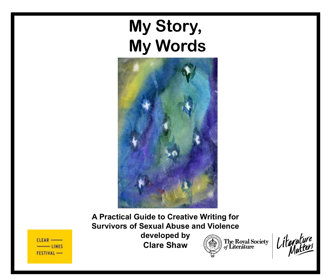# **My Story, My Words**



### **A Practical Guide to Creative Writing for Survivors of Sexual Abuse and Violence**

**developed by Clare Shaw**



Literature

 $CLEAR$  – **CONTROL FESTIVAL-**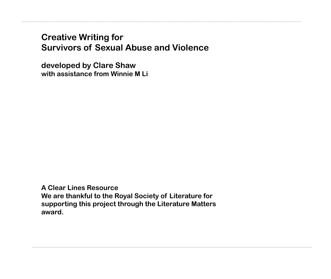## **Creative Writing for Survivors of Sexual Abuse and Violence**

**developed by Clare Shaw with assistance from Winnie M Li**

**A Clear Lines Resource We are thankful to the Royal Society of Literature for supporting this project through the Literature Matters award.**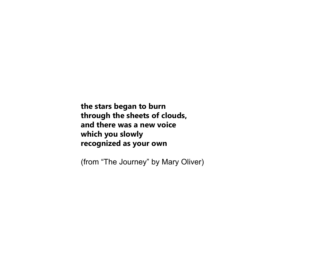**the stars began to burn through the sheets of clouds, and there was a new voice which you slowly recognized as your own**

(from "The Journey" by Mary Oliver)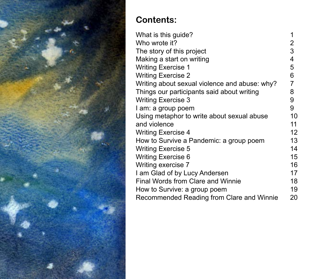

# **Contents:**

| What is this guide?                           | 1              |
|-----------------------------------------------|----------------|
| Who wrote it?                                 | $\overline{2}$ |
| The story of this project                     | 3              |
| Making a start on writing                     | 4              |
| <b>Writing Exercise 1</b>                     | 5              |
| <b>Writing Exercise 2</b>                     | 6              |
| Writing about sexual violence and abuse: why? | $\overline{7}$ |
| Things our participants said about writing    | 8              |
| <b>Writing Exercise 3</b>                     | 9              |
| I am: a group poem                            | 9              |
| Using metaphor to write about sexual abuse    | 10             |
| and violence                                  | 11             |
| <b>Writing Exercise 4</b>                     | 12             |
| How to Survive a Pandemic: a group poem       | 13             |
| <b>Writing Exercise 5</b>                     | 14             |
| <b>Writing Exercise 6</b>                     | 15             |
| Writing exercise 7                            | 16             |
| I am Glad of by Lucy Andersen                 | 17             |
| <b>Final Words from Clare and Winnie</b>      | 18             |
| How to Survive: a group poem                  | 19             |
| Recommended Reading from Clare and Winnie     | 20             |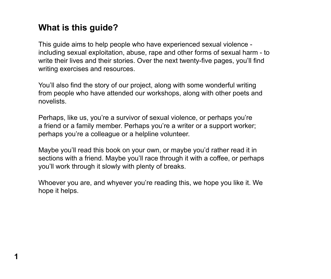# **What is this guide?**

**1**

This guide aims to help people who have experienced sexual violence including sexual exploitation, abuse, rape and other forms of sexual harm - to write their lives and their stories. Over the next twenty-five pages, you'll find writing exercises and resources.

You'll also find the story of our project, along with some wonderful writing from people who have attended our workshops, along with other poets and novelists.

Perhaps, like us, you're a survivor of sexual violence, or perhaps you're a friend or a family member. Perhaps you're a writer or a support worker; perhaps you're a colleague or a helpline volunteer.

Maybe you'll read this book on your own, or maybe you'd rather read it in sections with a friend. Maybe you'll race through it with a coffee, or perhaps you'll work through it slowly with plenty of breaks.

Whoever you are, and whyever you're reading this, we hope you like it. We hope it helps.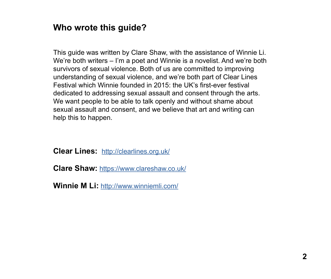## **Who wrote this guide?**

This guide was written by Clare Shaw, with the assistance of Winnie Li. We're both writers – I'm a poet and Winnie is a novelist. And we're both survivors of sexual violence. Both of us are committed to improving understanding of sexual violence, and we're both part of Clear Lines Festival which Winnie founded in 2015: the UK's first-ever festival dedicated to addressing sexual assault and consent through the arts. We want people to be able to talk openly and without shame about sexual assault and consent, and we believe that art and writing can help this to happen.

**Clear Lines:** [http://clearlines.org.uk/](http://clearlines.org.uk/ )

**[C](https://www.clareshaw.co.uk/)lare Shaw:** https://www.clareshaw.co.uk/

**Winnie M Li:** [http://www.winniemli.com/](http://www.winniemli.com/ )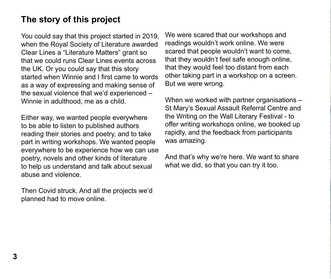# **The story of this project**

You could say that this project started in 2019, when the Royal Society of Literature awarded Clear Lines a "Literature Matters" grant so that we could runs Clear Lines events across the UK. Or you could say that this story started when Winnie and I first came to words as a way of expressing and making sense of the sexual violence that we'd experienced – Winnie in adulthood, me as a child.

Either way, we wanted people everywhere to be able to listen to published authors reading their stories and poetry, and to take part in writing workshops. We wanted people everywhere to be experience how we can use poetry, novels and other kinds of literature to help us understand and talk about sexual abuse and violence.

Then Covid struck. And all the projects we'd planned had to move online.

We were scared that our workshops and readings wouldn't work online. We were scared that people wouldn't want to come, that they wouldn't feel safe enough online, that they would feel too distant from each other taking part in a workshop on a screen. But we were wrong.

When we worked with partner organisations – St Mary's Sexual Assault Referral Centre and the Writing on the Wall Literary Festival - to offer writing workshops online, we booked up rapidly, and the feedback from participants was amazing.

And that's why we're here. We want to share what we did, so that you can try it too.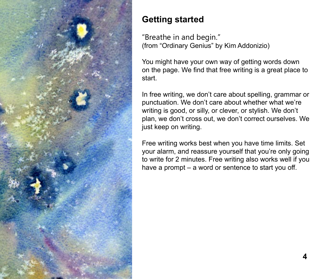![](_page_8_Picture_0.jpeg)

# **Getting started**

"Breathe in and begin." (from "Ordinary Genius" by Kim Addonizio)

You might have your own way of getting words down on the page. We find that free writing is a great place to start.

In free writing, we don't care about spelling, grammar or punctuation. We don't care about whether what we're writing is good, or silly, or clever, or stylish. We don't plan, we don't cross out, we don't correct ourselves. We just keep on writing.

Free writing works best when you have time limits. Set your alarm, and reassure yourself that you're only going to write for 2 minutes. Free writing also works well if you have a prompt – a word or sentence to start you off.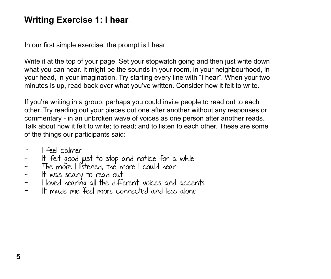# **Writing Exercise 1: I hear**

In our first simple exercise, the prompt is I hear

Write it at the top of your page. Set your stopwatch going and then just write down what you can hear. It might be the sounds in your room, in your neighbourhood, in your head, in your imagination. Try starting every line with "I hear". When your two minutes is up, read back over what you've written. Consider how it felt to write.

If you're writing in a group, perhaps you could invite people to read out to each other. Try reading out your pieces out one after another without any responses or commentary - in an unbroken wave of voices as one person after another reads. Talk about how it felt to write; to read; and to listen to each other. These are some of the things our participants said:

- I feel calmer
- It felt good just to stop and notice for a while
- The more I listened, the more I could hear
- It was scary to read out
- I loved hearing all the different voices and accents
- It made me feel more connected and less alone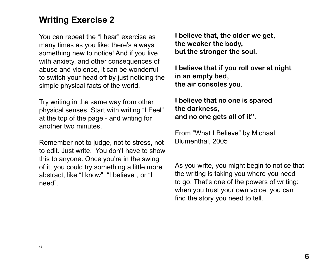## **Writing Exercise 2**

You can repeat the "I hear" exercise as many times as you like: there's always something new to notice! And if you live with anxiety, and other consequences of abuse and violence, it can be wonderful to switch your head off by just noticing the simple physical facts of the world.

Try writing in the same way from other physical senses. Start with writing "I Feel" at the top of the page - and writing for another two minutes.

Remember not to judge, not to stress, not to edit. Just write. You don't have to show this to anyone. Once you're in the swing of it, you could try something a little more abstract, like "I know", "I believe", or "I need".

**I believe that, the older we get, the weaker the body, but the stronger the soul.**

**I believe that if you roll over at night in an empty bed, the air consoles you.**

**I believe that no one is spared the darkness, and no one gets all of it".**

From "What I Believe" by Michaal Blumenthal, 2005

As you write, you might begin to notice that the writing is taking you where you need to go. That's one of the powers of writing: when you trust your own voice, you can find the story you need to tell.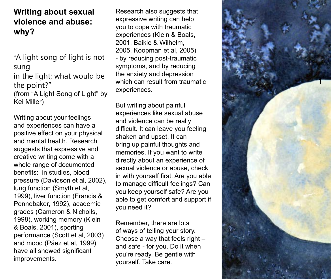## **Writing about sexual violence and abuse: why?**

"A light song of light is not sung

in the light; what would be the point?" (from "A Light Song of Light" by

Kei Miller)

Writing about your feelings and experiences can have a positive effect on your physical and mental health. Research suggests that expressive and creative writing come with a whole range of documented benefits: in studies, blood pressure (Davidson et al, 2002), lung function (Smyth et al, 1999), liver function (Francis & Pennebaker, 1992), academic grades (Cameron & Nicholls, 1998), working memory (Klein & Boals, 2001), sporting performance (Scott et al, 2003) and mood (Páez et al, 1999) have all showed significant improvements.

Research also suggests that expressive writing can help you to cope with traumatic experiences (Klein & Boals, 2001, Baikie & Wilhelm, 2005, Koopman et al, 2005) - by reducing post-traumatic symptoms, and by reducing the anxiety and depression which can result from traumatic experiences.

But writing about painful experiences like sexual abuse and violence can be really difficult. It can leave you feeling shaken and upset. It can bring up painful thoughts and memories. If you want to write directly about an experience of sexual violence or abuse, check in with yourself first. Are you able to manage difficult feelings? Can you keep yourself safe? Are you able to get comfort and support if you need it?

Remember, there are lots of ways of telling your story. Choose a way that feels right – and safe - for you. Do it when you're ready. Be gentle with yourself. Take care.

![](_page_11_Picture_8.jpeg)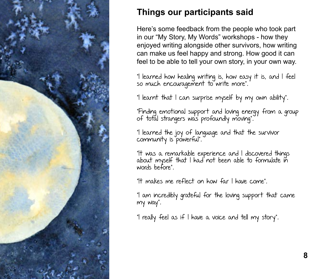![](_page_12_Picture_0.jpeg)

# **Things our participants said**

Here's some feedback from the people who took part in our "My Story, My Words" workshops - how they enjoyed writing alongside other survivors, how writing can make us feel happy and strong. How good it can feel to be able to tell your own story, in your own way.

"I learned how healing writing is, how easy it is, and I feel so much encouragement to write more".

"I learnt that I can surprise myself by my own ability".

"Finding emotional support and loving energy from a group of total strangers was profoundly moving".

"I learned the joy of language and that the survivor community is powerful".

"It was a remarkable experience and I discovered things about myself that I had not been able to formulate in words before".

"It makes me reflect on how far I have come".

"I am incredibly grateful for the loving support that came my way".

"I really feel as if I have a voice and tell my story".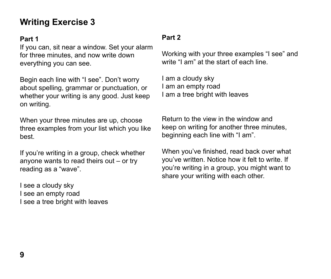# **Writing Exercise 3**

#### **Part 1**

If you can, sit near a window. Set your alarm for three minutes, and now write down everything you can see.

Begin each line with "I see". Don't worry about spelling, grammar or punctuation, or whether your writing is any good. Just keep on writing.

When your three minutes are up, choose three examples from your list which you like best.

If you're writing in a group, check whether anyone wants to read theirs out – or try reading as a "wave".

I see a cloudy sky I see an empty road I see a tree bright with leaves

## **Part 2**

Working with your three examples "I see" and write "I am" at the start of each line.

I am a cloudy sky I am an empty road I am a tree bright with leaves

Return to the view in the window and keep on writing for another three minutes, beginning each line with "I am".

When you've finished, read back over what you've written. Notice how it felt to write. If you're writing in a group, you might want to share your writing with each other.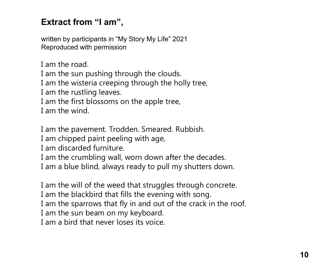# **Extract from "I am",**

written by participants in "My Story My Life" 2021 Reproduced with permission

I am the road.

I am the sun pushing through the clouds.

I am the wisteria creeping through the holly tree,

I am the rustling leaves.

I am the first blossoms on the apple tree,

I am the wind.

I am the pavement. Trodden. Smeared. Rubbish.

I am chipped paint peeling with age,

I am discarded furniture.

I am the crumbling wall, worn down after the decades.

I am a blue blind, always ready to pull my shutters down.

I am the will of the weed that struggles through concrete.

I am the blackbird that fills the evening with song.

I am the sparrows that fly in and out of the crack in the roof.

I am the sun beam on my keyboard.

I am a bird that never loses its voice.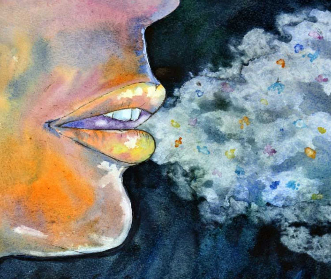![](_page_15_Picture_0.jpeg)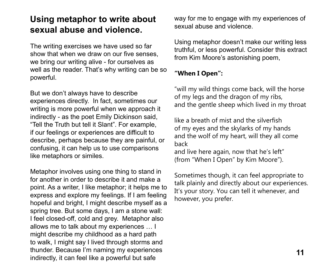## **Using metaphor to write about sexual abuse and violence.**

The writing exercises we have used so far show that when we draw on our five senses, we bring our writing alive - for ourselves as well as the reader. That's why writing can be so powerful.

But we don't always have to describe experiences directly. In fact, sometimes our writing is more powerful when we approach it indirectly - as the poet Emily Dickinson said, "Tell the Truth but tell it Slant". For example, if our feelings or experiences are difficult to describe, perhaps because they are painful, or confusing, it can help us to use comparisons like metaphors or similes.

Metaphor involves using one thing to stand in for another in order to describe it and make a point. As a writer, I like metaphor; it helps me to express and explore my feelings. If I am feeling hopeful and bright, I might describe myself as a spring tree. But some days, I am a stone wall: I feel closed-off, cold and grey. Metaphor also allows me to talk about my experiences … I might describe my childhood as a hard path to walk, I might say I lived through storms and thunder. Because I'm naming my experiences indirectly, it can feel like a powerful but safe

way for me to engage with my experiences of sexual abuse and violence.

Using metaphor doesn't make our writing less truthful, or less powerful. Consider this extract from Kim Moore's astonishing poem,

#### **"When I Open":**

"will my wild things come back, will the horse of my legs and the dragon of my ribs, and the gentle sheep which lived in my throat

like a breath of mist and the silverfish of my eyes and the skylarks of my hands and the wolf of my heart, will they all come back

and live here again, now that he's left" (from "When I Open" by Kim Moore").

Sometimes though, it can feel appropriate to talk plainly and directly about our experiences. It's your story. You can tell it whenever, and however, you prefer.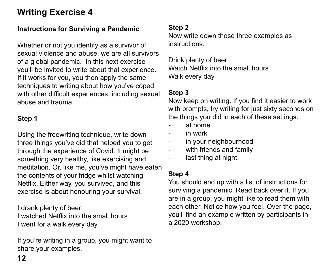# **Writing Exercise 4**

#### **Instructions for Surviving a Pandemic**

Whether or not you identify as a survivor of sexual violence and abuse, we are all survivors of a global pandemic. In this next exercise you'll be invited to write about that experience. If it works for you, you then apply the same techniques to writing about how you've coped with other difficult experiences, including sexual abuse and trauma.

#### **Step 1**

Using the freewriting technique, write down three things you've did that helped you to get through the experience of Covid. It might be something very healthy, like exercising and meditation. Or, like me, you've might have eaten the contents of your fridge whilst watching Netflix. Either way, you survived, and this exercise is about honouring your survival.

I drank plenty of beer I watched Netflix into the small hours I went for a walk every day

If you're writing in a group, you might want to share your examples.

#### **Step 2**

Now write down those three examples as instructions:

Drink plenty of beer Watch Netflix into the small hours Walk every day

#### **Step 3**

Now keep on writing. If you find it easier to work with prompts, try writing for just sixty seconds on the things you did in each of these settings:

- at home
- in work
- in your neighbourhood
- with friends and family
- last thing at night.

#### **Step 4**

You should end up with a list of instructions for surviving a pandemic. Read back over it. If you are in a group, you might like to read them with each other. Notice how you feel. Over the page, you'll find an example written by participants in a 2020 workshop.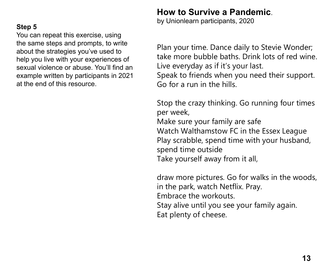#### **Step 5**

You can repeat this exercise, using the same steps and prompts, to write about the strategies you've used to help you live with your experiences of sexual violence or abuse. You'll find an example written by participants in 2021 at the end of this resource.

# **How to Survive a Pandemic**.

by Unionlearn participants, 2020

Plan your time. Dance daily to Stevie Wonder; take more bubble baths. Drink lots of red wine. Live everyday as if it's your last. Speak to friends when you need their support. Go for a run in the hills.

Stop the crazy thinking. Go running four times per week, Make sure your family are safe Watch Walthamstow FC in the Essex League Play scrabble, spend time with your husband, spend time outside Take yourself away from it all,

draw more pictures. Go for walks in the woods, in the park, watch Netflix. Pray. Embrace the workouts. Stay alive until you see your family again. Eat plenty of cheese.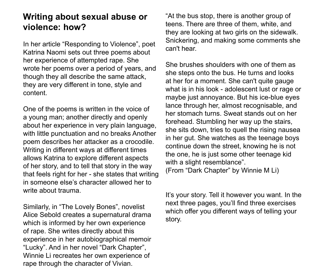# **Writing about sexual abuse or violence: how?**

In her article "Responding to Violence", poet Katrina Naomi sets out three poems about her experience of attempted rape. She wrote her poems over a period of years, and though they all describe the same attack, they are very different in tone, style and content.

One of the poems is written in the voice of a young man; another directly and openly about her experience in very plain language, with little punctuation and no breaks Another poem describes her attacker as a crocodile. Writing in different ways at different times allows Katrina to explore different aspects of her story, and to tell that story in the way that feels right for her - she states that writing in someone else's character allowed her to write about trauma.

Similarly, in "The Lovely Bones", novelist Alice Sebold creates a supernatural drama which is informed by her own experience of rape. She writes directly about this experience in her autobiographical memoir "Lucky". And in her novel "Dark Chapter", Winnie Li recreates her own experience of rape through the character of Vivian.

"At the bus stop, there is another group of teens. There are three of them, white, and they are looking at two girls on the sidewalk. Snickering, and making some comments she can't hear.

She brushes shoulders with one of them as she steps onto the bus. He turns and looks at her for a moment. She can't quite gauge what is in his look - adolescent lust or rage or maybe just annoyance. But his ice-blue eyes lance through her, almost recognisable, and her stomach turns. Sweat stands out on her forehead. Stumbling her way up the stairs, she sits down, tries to quell the rising nausea in her gut. She watches as the teenage boys continue down the street, knowing he is not the one, he is just some other teenage kid with a slight resemblance". (From "Dark Chapter" by Winnie M Li)

It's your story. Tell it however you want. In the next three pages, you'll find three exercises which offer you different ways of telling your story.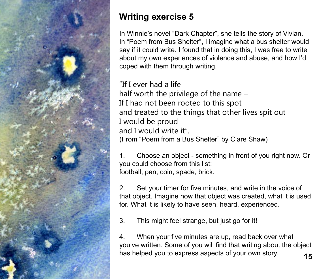![](_page_20_Picture_0.jpeg)

# **Writing exercise 5**

In Winnie's novel "Dark Chapter", she tells the story of Vivian. In "Poem from Bus Shelter", I imagine what a bus shelter would say if it could write. I found that in doing this, I was free to write about my own experiences of violence and abuse, and how I'd coped with them through writing.

"If I ever had a life half worth the privilege of the name – If I had not been rooted to this spot and treated to the things that other lives spit out I would be proud and I would write it". (From "Poem from a Bus Shelter" by Clare Shaw)

1. Choose an object - something in front of you right now. Or you could choose from this list: football, pen, coin, spade, brick.

2. Set your timer for five minutes, and write in the voice of that object. Imagine how that object was created, what it is used for. What it is likely to have seen, heard, experienced.

3. This might feel strange, but just go for it!

4. When your five minutes are up, read back over what you've written. Some of you will find that writing about the object has helped you to express aspects of your own story. **15**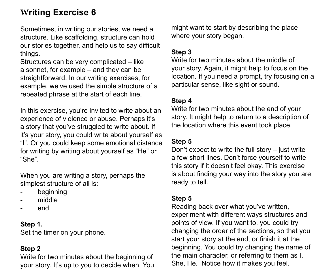# **Writing Exercise 6**

Sometimes, in writing our stories, we need a structure. Like scaffolding, structure can hold our stories together, and help us to say difficult things.

Structures can be very complicated – like a sonnet, for example – and they can be straightforward. In our writing exercises, for example, we've used the simple structure of a repeated phrase at the start of each line.

In this exercise, you're invited to write about an experience of violence or abuse. Perhaps it's a story that you've struggled to write about. If it's your story, you could write about yourself as "I". Or you could keep some emotional distance for writing by writing about yourself as "He" or "She".

When you are writing a story, perhaps the simplest structure of all is:

- beginning
- middle
- end.

#### **Step 1.**

Set the timer on your phone.

#### **Step 2**

Write for two minutes about the beginning of your story. It's up to you to decide when. You

might want to start by describing the place where your story began.

#### **Step 3**

Write for two minutes about the middle of your story. Again, it might help to focus on the location. If you need a prompt, try focusing on a particular sense, like sight or sound.

#### **Step 4**

Write for two minutes about the end of your story. It might help to return to a description of the location where this event took place.

#### **Step 5**

Don't expect to write the full story – just write a few short lines. Don't force yourself to write this story if it doesn't feel okay. This exercise is about finding your way into the story you are ready to tell.

#### **Step 5**

Reading back over what you've written, experiment with different ways structures and points of view. If you want to, you could try changing the order of the sections, so that you start your story at the end, or finish it at the beginning. You could try changing the name of the main character, or referring to them as I, She, He. Notice how it makes you feel.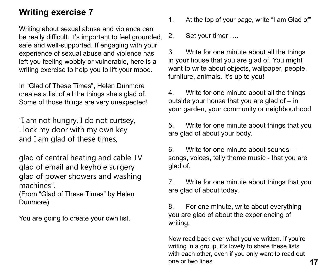# **Writing exercise 7**

Writing about sexual abuse and violence can be really difficult. It's important to feel grounded, safe and well-supported. If engaging with your experience of sexual abuse and violence has left you feeling wobbly or vulnerable, here is a writing exercise to help you to lift your mood.

In "Glad of These Times", Helen Dunmore creates a list of all the things she's glad of. Some of those things are very unexpected!

"I am not hungry, I do not curtsey, I lock my door with my own key and I am glad of these times,

glad of central heating and cable TV glad of email and keyhole surgery glad of power showers and washing machines".

(From "Glad of These Times" by Helen Dunmore)

You are going to create your own list.

1. At the top of your page, write "I am Glad of"

2. Set your timer ….

3. Write for one minute about all the things in your house that you are glad of. You might want to write about objects, wallpaper, people, furniture, animals. It's up to you!

4. Write for one minute about all the things outside your house that you are glad of  $-$  in your garden, your community or neighbourhood

5. Write for one minute about things that you are glad of about your body.

6. Write for one minute about sounds – songs, voices, telly theme music - that you are glad of.

7. Write for one minute about things that you are glad of about today.

8. For one minute, write about everything you are glad of about the experiencing of writing.

Now read back over what you've written. If you're writing in a group, it's lovely to share these lists with each other, even if you only want to read out one or two lines. **17**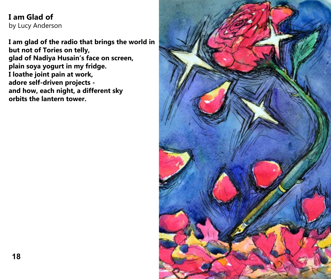**I am Glad of**  by Lucy Anderson

**I am glad of the radio that brings the world in but not of Tories on telly, glad of Nadiya Husain's face on screen, plain soya yogurt in my fridge. I loathe joint pain at work, adore self-driven projects and how, each night, a different sky orbits the lantern tower.**

![](_page_23_Picture_2.jpeg)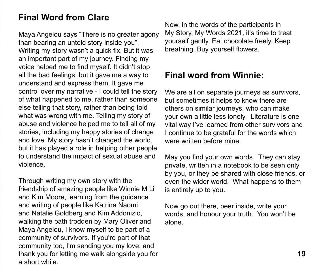# **Final Word from Clare**

Maya Angelou says "There is no greater agony than bearing an untold story inside you". Writing my story wasn't a quick fix. But it was an important part of my journey. Finding my voice helped me to find myself. It didn't stop all the bad feelings, but it gave me a way to understand and express them. It gave me control over my narrative - I could tell the story of what happened to me, rather than someone else telling that story, rather than being told what was wrong with me. Telling my story of abuse and violence helped me to tell all of my stories, including my happy stories of change and love. My story hasn't changed the world, but it has played a role in helping other people to understand the impact of sexual abuse and violence.

Through writing my own story with the friendship of amazing people like Winnie M Li and Kim Moore, learning from the guidance and writing of people like Katrina Naomi and Natalie Goldberg and Kim Addonizio, walking the path trodden by Mary Oliver and Maya Angelou, I know myself to be part of a community of survivors. If you're part of that community too, I'm sending you my love, and thank you for letting me walk alongside you for a short while.

Now, in the words of the participants in My Story, My Words 2021, it's time to treat yourself gently. Eat chocolate freely. Keep breathing. Buy yourself flowers.

# **Final word from Winnie:**

We are all on separate journeys as survivors, but sometimes it helps to know there are others on similar journeys, who can make your own a little less lonely. Literature is one vital way I've learned from other survivors and I continue to be grateful for the words which were written before mine.

May you find your own words. They can stay private, written in a notebook to be seen only by you, or they be shared with close friends, or even the wider world. What happens to them is entirely up to you.

Now go out there, peer inside, write your words, and honour your truth. You won't be alone.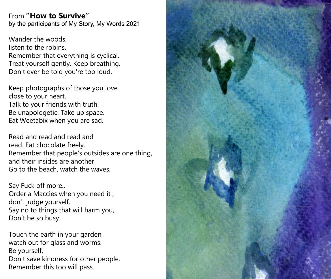From **"How to Survive"** by the participants of My Story, My Words 2021

Wander the woods, listen to the robins. Remember that everything is cyclical. Treat yourself gently. Keep breathing. Don't ever be told you're too loud.

Keep photographs of those you love close to your heart. Talk to your friends with truth. Be unapologetic. Take up space. Eat Weetabix when you are sad.

Read and read and read and read. Eat chocolate freely. Remember that people's outsides are one thing, and their insides are another Go to the beach, watch the waves.

Say Fuck off more.. Order a Maccies when you need it , don't judge yourself. Say no to things that will harm you, Don't be so busy.

Touch the earth in your garden, watch out for glass and worms. Be yourself. Don't save kindness for other people. Remember this too will pass.

![](_page_25_Picture_6.jpeg)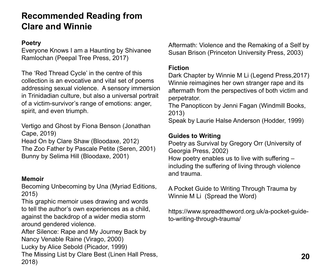# **Recommended Reading from Clare and Winnie**

#### **Poetry**

Everyone Knows I am a Haunting by Shivanee Ramlochan (Peepal Tree Press, 2017)

The 'Red Thread Cycle' in the centre of this collection is an evocative and vital set of poems addressing sexual violence. A sensory immersion in Trinidadian culture, but also a universal portrait of a victim-survivor's range of emotions: anger, spirit, and even triumph.

Vertigo and Ghost by Fiona Benson (Jonathan Cape, 2019) Head On by Clare Shaw (Bloodaxe, 2012) The Zoo Father by Pascale Petite (Seren, 2001) Bunny by Selima Hill (Bloodaxe, 2001)

#### **Memoir**

Becoming Unbecoming by Una (Myriad Editions, 2015)

This graphic memoir uses drawing and words to tell the author's own experiences as a child, against the backdrop of a wider media storm around gendered violence.

After Silence: Rape and My Journey Back by Nancy Venable Raine (Virago, 2000) Lucky by Alice Sebold (Picador, 1999) The Missing List by Clare Best (Linen Hall Press, 2018)

Aftermath: Violence and the Remaking of a Self by Susan Brison (Princeton University Press, 2003)

#### **Fiction**

Dark Chapter by Winnie M Li (Legend Press,2017) Winnie reimagines her own stranger rape and its aftermath from the perspectives of both victim and perpetrator.

The Panopticon by Jenni Fagan (Windmill Books, 2013)

Speak by Laurie Halse Anderson (Hodder, 1999)

#### **Guides to Writing**

Poetry as Survival by Gregory Orr (University of Georgia Press, 2002) How poetry enables us to live with suffering – including the suffering of living through violence and trauma.

A Pocket Guide to Writing Through Trauma by Winnie M Li (Spread the Word)

https://www.spreadtheword.org.uk/a-pocket-guideto-writing-through-trauma/